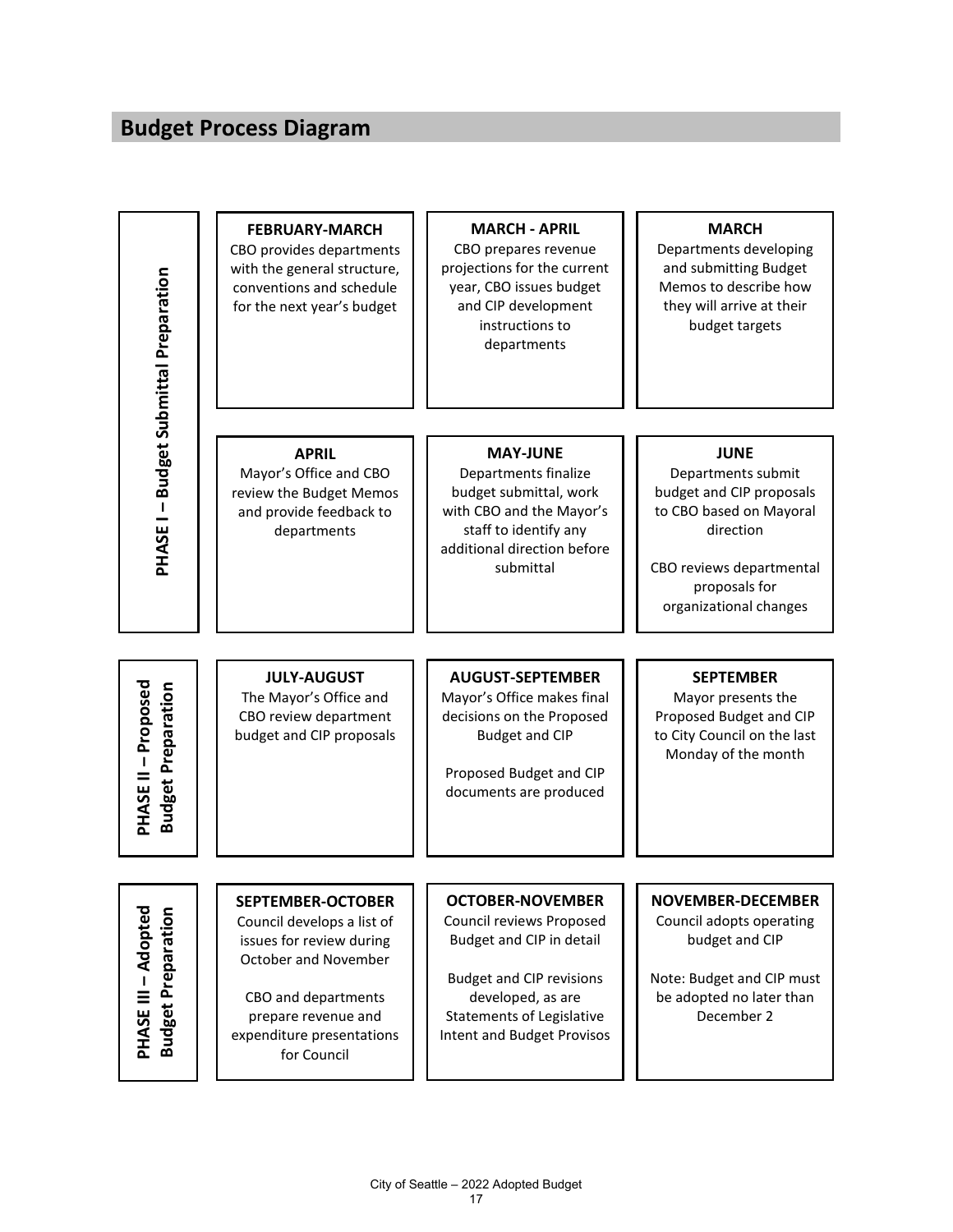## **Budget Process Diagram**

| <b>PHASE I - Budget Submittal Preparation</b>           | <b>FEBRUARY-MARCH</b><br>CBO provides departments<br>with the general structure,<br>conventions and schedule<br>for the next year's budget                                                           | <b>MARCH - APRIL</b><br>CBO prepares revenue<br>projections for the current<br>year, CBO issues budget<br>and CIP development<br>instructions to<br>departments                                                  | <b>MARCH</b><br>Departments developing<br>and submitting Budget<br>Memos to describe how<br>they will arrive at their<br>budget targets                                      |
|---------------------------------------------------------|------------------------------------------------------------------------------------------------------------------------------------------------------------------------------------------------------|------------------------------------------------------------------------------------------------------------------------------------------------------------------------------------------------------------------|------------------------------------------------------------------------------------------------------------------------------------------------------------------------------|
|                                                         | <b>APRIL</b><br>Mayor's Office and CBO<br>review the Budget Memos<br>and provide feedback to<br>departments                                                                                          | <b>MAY-JUNE</b><br>Departments finalize<br>budget submittal, work<br>with CBO and the Mayor's<br>staff to identify any<br>additional direction before<br>submittal                                               | <b>JUNE</b><br>Departments submit<br>budget and CIP proposals<br>to CBO based on Mayoral<br>direction<br>CBO reviews departmental<br>proposals for<br>organizational changes |
| <b>PHASE II - Proposed</b><br><b>Budget Preparation</b> | <b>JULY-AUGUST</b><br>The Mayor's Office and<br>CBO review department<br>budget and CIP proposals                                                                                                    | <b>AUGUST-SEPTEMBER</b><br>Mayor's Office makes final<br>decisions on the Proposed<br><b>Budget and CIP</b><br>Proposed Budget and CIP<br>documents are produced                                                 | <b>SEPTEMBER</b><br>Mayor presents the<br>Proposed Budget and CIP<br>to City Council on the last<br>Monday of the month                                                      |
| <b>PHASE III - Adopted</b><br><b>Budget Preparation</b> | <b>SEPTEMBER-OCTOBER</b><br>Council develops a list of<br>issues for review during<br>October and November<br>CBO and departments<br>prepare revenue and<br>expenditure presentations<br>for Council | <b>OCTOBER-NOVEMBER</b><br>Council reviews Proposed<br>Budget and CIP in detail<br><b>Budget and CIP revisions</b><br>developed, as are<br><b>Statements of Legislative</b><br><b>Intent and Budget Provisos</b> | <b>NOVEMBER-DECEMBER</b><br>Council adopts operating<br>budget and CIP<br>Note: Budget and CIP must<br>be adopted no later than<br>December 2                                |